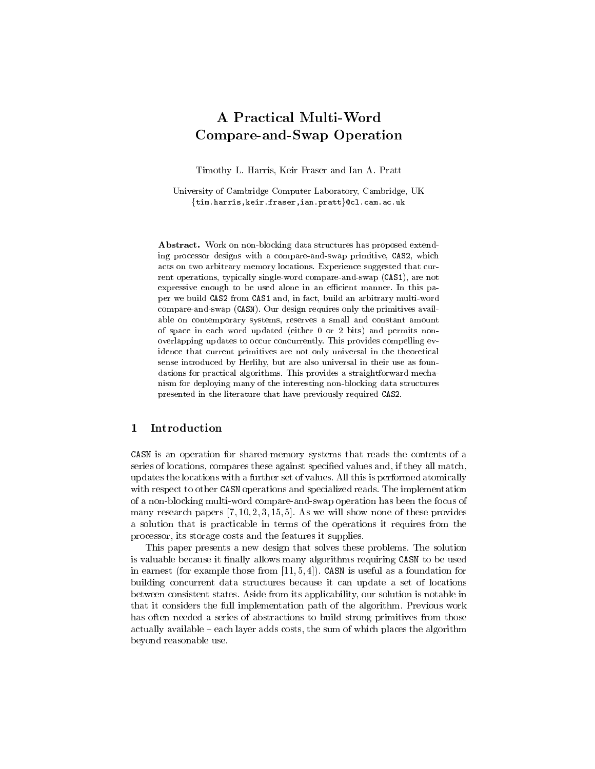# A Practical Multi-Word Compare-and-Swap Operation

Timothy L. Harris, Keir Fraser and Ian A. Pratt

University of Cambridge Computer Laboratory, Cambridge, UK {tim.harris, keir.fraser, ian.pratt}@cl.cam.ac.uk

Abstract. Work on non-blocking data structures has proposed extending processor designs with a compare-and-swap primitive, CAS2, which acts on two arbitrary memory locations. Experience suggested that cur rent operations, typically single-word compare-and-swap (CAS1), are not expressive enough to be used alone in an efficient manner. In this paper we build CAS2 from CAS1 and, in fact, build an arbitrary multi-word compare-and-swap (CASN). Our design requires only the primitives available on contemporary systems, reserves a small and constant amount of space in each word updated (either 0 or 2 bits) and permits non overlapping updates to occur concurrently. This provides compelling evidence that current primitives are not only universal in the theoretical sense introduced by Herlihy, but are also universal in their use as foundations for practical algorithms. This provides a straightforward mechanism for deploying many of the interesting non-blocking data structures presented in the literature that have previously required CAS2.

#### $\mathbf 1$ **Introduction**

CASN is an operation for shared-memory systems that reads the contents of a series of locations, compares these against specied values and, if they all match, updates the locations with a further set of values. All this is performed atomically with respect to other CASN operations and specialized reads. The implementation of a non-blocking multi-word compare-and-swap operation has been the focus of many research papers  $[7, 10, 2, 3, 15, 5]$ . As we will show none of these provides a solution that is practicable in terms of the operations it requires from the processor, its storage costs and the features it supplies.

This paper presents a new design that solves these problems. The solution is valuable because it finally allows many algorithms requiring CASN to be used in earnest (for example those from  $[11, 5, 4]$ ). CASN is useful as a foundation for building concurrent data structures because it can update a set of locations between consistent states. Aside from its applicability, our solution is notable in that it considers the full implementation path of the algorithm. Previous work has often needed a series of abstractions to build strong primitives from those actually available  $-$  each layer adds costs, the sum of which places the algorithm beyond reasonable use.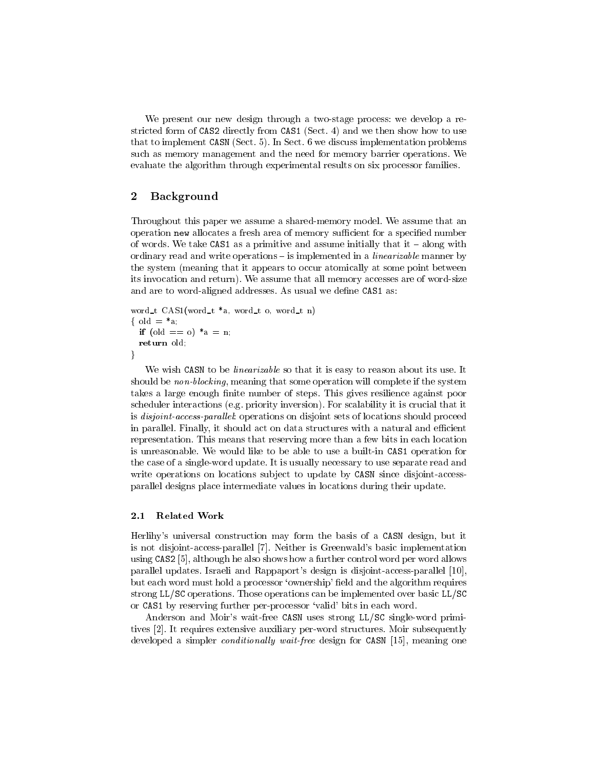We present our new design through a two-stage process: we develop a restricted form of CAS2 directly from CAS1 (Sect. 4) and we then show how to use that to implement CASN (Sect. 5). In Sect. 6 we discuss implementation problems such as memory management and the need for memory barrier operations. We evaluate the algorithm through experimental results on six processor families.

### 2 Background

Throughout this paper we assume a shared-memory model. We assume that an operation new allocates a fresh area of memory sufficient for a specified number of words. We take CAS1 as a primitive and assume initially that it  $-$  along with ordinary read and write operations  $-$  is implemented in a *linearizable* manner by the system (meaning that it appears to occur atomically at some point between its invocation and return). We assume that all memory accesses are of word-size and are to word-aligned addresses. As usual we define CAS1 as:

```
word_t CAS1(word_t *a, word_t o, word_t n)\{ old = *a;if (old == o) a = n;
  return old;
\mathcal{L}_{\mathcal{L}}
```
We wish CASN to be *linearizable* so that it is easy to reason about its use. It should be non-blocking, meaning that some operation will complete if the system takes a large enough finite number of steps. This gives resilience against poor scheduler interactions (e.g. priority inversion). For scalability it is crucial that it is disjoint-access-parallel: operations on disjoint sets of locations should proceed in parallel. Finally, it should act on data structures with a natural and efficient representation. This means that reserving more than a few bits in each location is unreasonable. We would like to be able to use a built-in CAS1 operation for the case of a single-word update. It is usually necessary to use separate read and write operations on locations subject to update by CASN since disjoint-accessparallel designs place intermediate values in locations during their update.

#### 2.1 Related Work

Herlihy's universal construction may form the basis of a CASN design, but it is not disjoint-access-parallel [7]. Neither is Greenwald's basic implementation using CAS2 [5], although he also shows how a further control word per word allows parallel updates. Israeli and Rappaport's design is disjoint-access-parallel [10], but each word must hold a processor 'ownership' field and the algorithm requires strong LL/SC operations. Those operations can be implemented over basic LL/SC or CAS1 by reserving further per-processor 'valid' bits in each word.

Anderson and Moir's wait-free CASN uses strong LL/SC single-word primitives [2]. It requires extensive auxiliary per-word structures. Moir subsequently developed a simpler *conditionally wait-free* design for CASN [15], meaning one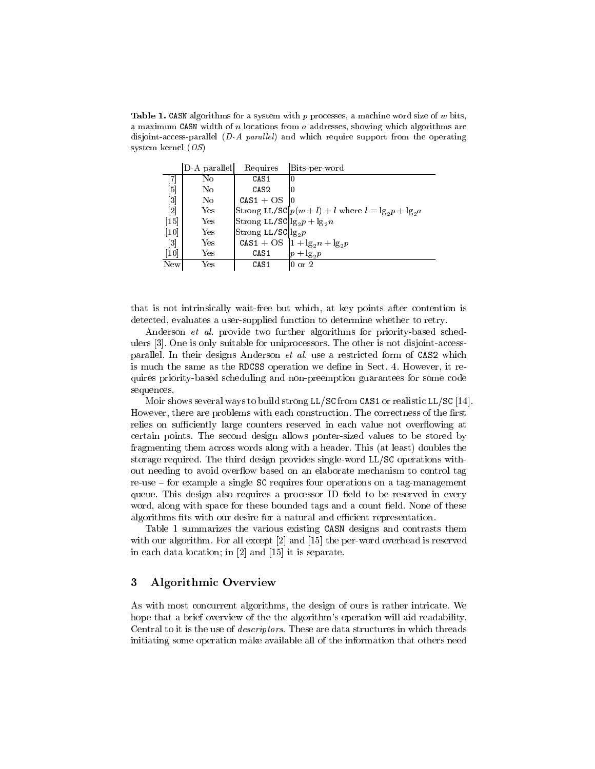**Table 1. CASN** algorithms for a system with p processes, a machine word size of  $w$  bits, a maximum CASN width of  $n$  locations from  $a$  addresses, showing which algorithms are disjoint-access-parallel  $(D-A\ parallel)$  and which require support from the operating system kernel (OS)

|                               | D-A parallel   | Requires                         | Bits-per-word                                           |
|-------------------------------|----------------|----------------------------------|---------------------------------------------------------|
| 7                             | No             | CAS <sub>1</sub>                 | Ю                                                       |
| $\lceil 5 \rceil$             | No             | CAS <sub>2</sub>                 |                                                         |
| $[3]$                         | N <sub>0</sub> | $CAS1 + OS$                      | -10                                                     |
| [2]                           | Yes            |                                  | Strong LL/SC $p(w+l) + l$ where $l = \lg_2 p + \lg_2 a$ |
| $\left[15\right]$             | Yes            | Strong LL/SC $\lg_2 p + \lg_2 n$ |                                                         |
| $\left\lceil 10 \right\rceil$ | Yes            | Strong LL/SC $\lg_2 p$           |                                                         |
| $[3]$                         | Yes            |                                  | CAS1 + OS $1 + \lg_2 n + \lg_2 p$                       |
| $\left\lceil 10 \right\rceil$ | Yes            | CAS <sub>1</sub>                 | $p + \lg_2 p$                                           |
| New                           | Yes            | CAS1                             | $\vert 0 \rangle$ or $\vert 2 \rangle$                  |

that is not intrinsically wait-free but which, at key points after contention is detected, evaluates a user-supplied function to determine whether to retry.

Anderson et al. provide two further algorithms for priority-based schedulers [3]. One is only suitable for uniprocessors. The other is not disjoint-accessparallel. In their designs Anderson et al. use a restricted form of CAS2 which is much the same as the RDCSS operation we define in Sect. 4. However, it requires priority-based scheduling and non-preemption guarantees for some code sequences.

Moir shows several ways to build strong LL/SC from CAS1 or realistic LL/SC [14]. However, there are problems with each construction. The correctness of the first relies on sufficiently large counters reserved in each value not overflowing at certain points. The second design allows ponter-sized values to be stored by fragmenting them across words along with a header. This (at least) doubles the storage required. The third design provides single-word LL/SC operations without needing to avoid overflow based on an elaborate mechanism to control tag  $re-use - for example a single SC requires four operations on a tag-management$ queue. This design also requires a processor ID field to be reserved in every word, along with space for these bounded tags and a count field. None of these algorithms fits with our desire for a natural and efficient representation.

Table 1 summarizes the various existing CASN designs and contrasts them with our algorithm. For all except [2] and [15] the per-word overhead is reserved in each data location; in [2] and [15] it is separate.

## 3 Algorithmic Overview

As with most concurrent algorithms, the design of ours is rather intricate. We hope that a brief overview of the the algorithm's operation will aid readability. Central to it is the use of descriptors. These are data structures in which threads initiating some operation make available all of the information that others need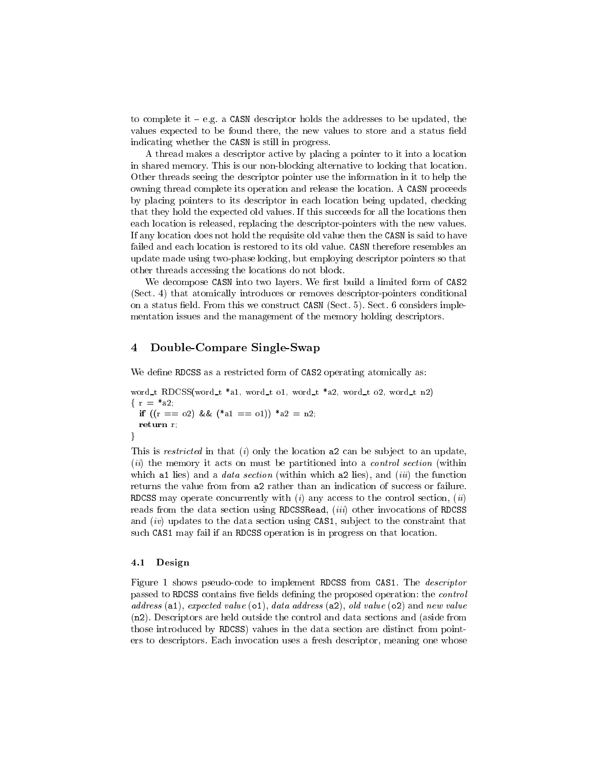to complete it  $-e.g.$  a CASN descriptor holds the addresses to be updated, the values expected to be found there, the new values to store and a status field indicating whether the CASN is still in progress.

A thread makes a descriptor active by placing a pointer to it into a location in shared memory. This is our non-blocking alternative to locking that location. Other threads seeing the descriptor pointer use the information in it to help the owning thread complete its operation and release the location. A CASN proceeds by placing pointers to its descriptor in each location being updated, checking that they hold the expected old values. If this succeeds for all the locations then each location is released, replacing the descriptor-pointers with the new values. If any location does not hold the requisite old value then the CASN is said to have failed and each location is restored to its old value. CASN therefore resembles an update made using two-phase locking, but employing descriptor pointers so that other threads accessing the locations do not block.

We decompose CASN into two layers. We first build a limited form of CAS2 (Sect. 4) that atomically introduces or removes descriptor-pointers conditional on a status field. From this we construct CASN (Sect.  $5$ ). Sect. 6 considers implementation issues and the management of the memory holding descriptors.

### 4 Double-Compare Single-Swap

We define RDCSS as a restricted form of CAS2 operating atomically as:

word\_t RDCSS(word\_t \*a1, word\_t o1, word\_t \*a2, word\_t o2, word\_t n2)  $f r = *a2$ : if  $((r == 02) \& ( *a1 == 01) *a2 = n2;$ return r;  $\mathcal{F}_{\mathcal{F}}$ 

This is *restricted* in that  $(i)$  only the location  $a2$  can be subject to an update,  $(ii)$  the memory it acts on must be partitioned into a *control section* (within which a1 lies) and a *data section* (within which a2 lies), and *(iii)* the function returns the value from from a2 rather than an indication of success or failure. RDCSS may operate concurrently with  $(i)$  any access to the control section,  $(ii)$ reads from the data section using RDCSSRead, *(iii)* other invocations of RDCSS and *(iv)* updates to the data section using CAS1, subject to the constraint that such CAS1 may fail if an RDCSS operation is in progress on that location.

#### 4.1 Design

Figure 1 shows pseudo-code to implement RDCSS from CAS1. The descriptor passed to RDCSS contains five fields defining the proposed operation: the *control* address (a1), expected value (o1), data address (a2), old value (o2) and new value (n2). Descriptors are held outside the control and data sections and (aside from those introduced by RDCSS) values in the data section are distinct from pointers to descriptors. Each invocation uses a fresh descriptor, meaning one whose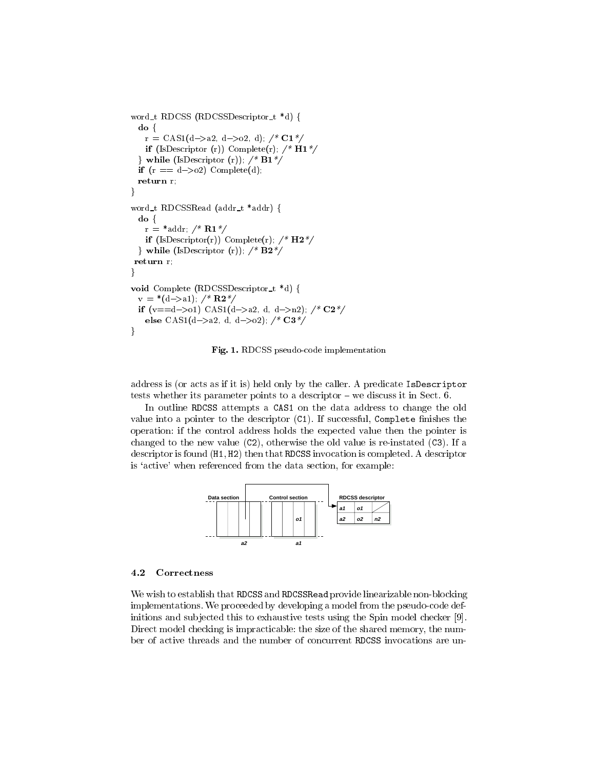```
word_t RDCSS (RDCSSDescriptor_t *d) {
 do f
   r = \text{CAS1}(d \rightarrow a2, d \rightarrow o2, d); /* C1*/
   if (IsDescriptor (r)) Complete(r); /* H1*/} while (IsDescriptor (r)); /* B1*/
 if (r == d \rightarrow o2) Complete(d);
 return r;
}<br>word_t RDCSSRead (addr_t *addr) {
 do f
   r = * \text{addr}; /* R1 */if (IsDescriptor(r)) Complete(r); /* H2<sup>*</sup>/
  } while (IsDescriptor (r)); /* B2*/return r;
}<br>void Complete (RDCSSDescriptor_t *d) {
 v = *({d{\rightarrow}a1}); / * R2*/if (v==d->o1) CAS1(d->a2, d, d->n2); /* C2*/
   else CAS1(d->a2, d, d->o2); /* C3*/
\}
```
Fig. 1. RDCSS pseudo-code implementation

address is (or acts as if it is) held only by the caller. A predicate IsDescriptor tests whether its parameter points to a descriptor  $-$  we discuss it in Sect. 6.

In outline RDCSS attempts a CAS1 on the data address to change the old value into a pointer to the descriptor  $(C1)$ . If successful, Complete finishes the operation: if the control address holds the expected value then the pointer is changed to the new value (C2), otherwise the old value is re-instated (C3). If a descriptor is found (H1, H2) then that RDCSS invocation is completed. A descriptor is `active' when referenced from the data section, for example:



#### $4.2$ **Correctness**

We wish to establish that RDCSS and RDCSSRead provide linearizable non-blocking implementations. We proceeded by developing a model from the pseudo-code definitions and sub jected this to exhaustive tests using the Spin model checker [9]. Direct model checking is impracticable: the size of the shared memory, the number of active threads and the number of concurrent RDCSS invocations are un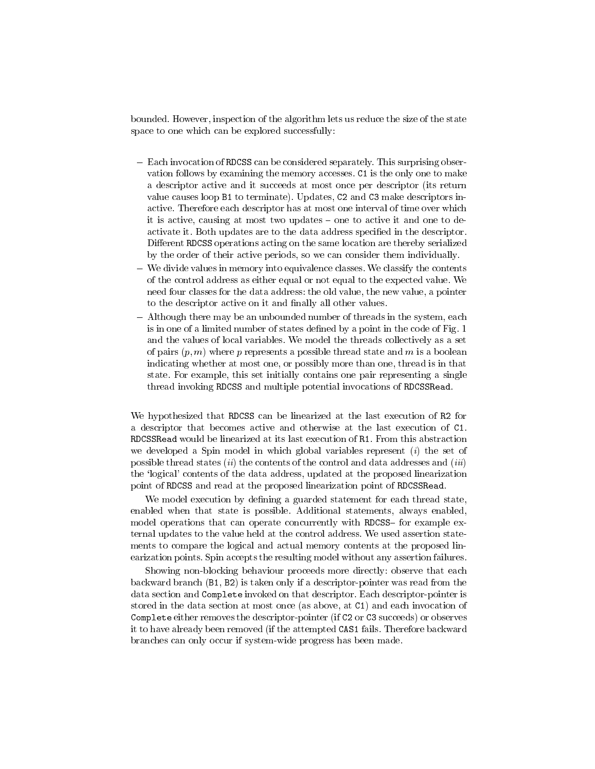bounded. However, inspection of the algorithm lets us reduce the size of the state space to one which can be explored successfully:

- ${\bf -}$  Each invocation of RDCSS can be considered separately. This surprising observation follows by examining the memory accesses. C1 is the only one to make a descriptor active and it succeeds at most once per descriptor (its return value causes loop B1 to terminate). Updates, C2 and C3 make descriptors inactive. Therefore each descriptor has at most one interval of time over which it is active, causing at most two updates  ${\bf -}$  one to active it and one to deactivate it. Both updates are to the data address specied in the descriptor. Different RDCSS operations acting on the same location are thereby serialized by the order of their active periods, so we can consider them individually.
- ${\bf -}$  We divide values in memory into equivalence classes. We classify the contents of the control address as either equal or not equal to the expected value. We need four classes for the data address: the old value, the new value, a pointer to the descriptor active on it and finally all other values.
- ${\bf -}$  Although there may be an unbounded number of threads in the system, each is in one of a limited number of states defined by a point in the code of Fig. 1 and the values of local variables. We model the threads collectively as a set of pairs  $(p, m)$  where p represents a possible thread state and m is a boolean indicating whether at most one, or possibly more than one, thread is in that state. For example, this set initially contains one pair representing a single thread invoking RDCSS and multiple potential invocations of RDCSSRead.

We hypothesized that RDCSS can be linearized at the last execution of R2 for a descriptor that becomes active and otherwise at the last execution of C1. RDCSSRead would be linearized at its last execution of R1. From this abstraction we developed a Spin model in which global variables represent  $(i)$  the set of possible thread states  $(ii)$  the contents of the control and data addresses and  $(iii)$ the `logical' contents of the data address, updated at the proposed linearization point of RDCSS and read at the proposed linearization point of RDCSSRead.

We model execution by defining a guarded statement for each thread state, enabled when that state is possible. Additional statements, always enabled, model operations that can operate concurrently with RDCSS- for example external updates to the value held at the control address. We used assertion statements to compare the logical and actual memory contents at the proposed linearization points. Spin accepts the resulting model without any assertion failures.

Showing non-blocking behaviour proceeds more directly: observe that each backward branch (B1, B2) is taken only if a descriptor-pointer was read from the data section and Complete invoked on that descriptor. Each descriptor-pointer is stored in the data section at most once (as above, at C1) and each invocation of Complete either removes the descriptor-pointer (if C2 or C3 succeeds) or observes it to have already been removed (if the attempted CAS1 fails. Therefore backward branches can only occur if system-wide progress has been made.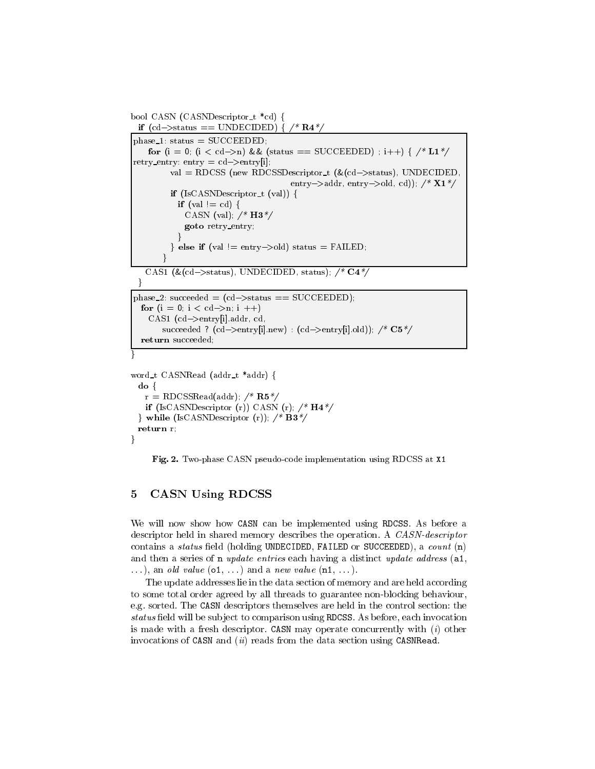bool CASN (CASNDescriptor t \*cd) { if (cd->status == UNDECIDED) {  $/*$  **R4** $*/$ 

 $phase_1: status = SUCCEEDED;$ for (i = 0; (i < cd->n) && (status == SUCCEEDED) ; i++) {  $/* L1*/$ retry\_entry: entry =  $cd$  ->entry [i]; val = RDCSS (new RDCSSDescriptor  $t$  ( $\&$ (cd->status), UNDECIDED, entry->addr, entry->old, cd));  $\frac{\times}{100}$  X1<sup>\*</sup>/ if (IsCASNDescriptor\_t (val)) { if (val  $!=$  cd) { CASN (val);  $\frac{\pi}{4}$  H3<sup>\*</sup>/ goto retry\_entry;  $\}$ } else if (val  $!=$  entry->old) status = FAILED;  $\}$  and  $\}$ CAS1 ( $\&$ (cd->status), UNDECIDED, status); /\* C4\*/  $\}$ phase 2: succeeded =  $(cd$  ->status == SUCCEEDED); for  $(i = 0; i < cd \rightarrow n; i++)$ CAS1 (cd->entry[i].addr, cd, succeeded ? (cd->entry[i].new) : (cd->entry[i].old));  $/*$  C5<sup>\*</sup>/ return succeeded; word\_t CASNRead (addr\_t \*addr) {

do f  $r = RDCSSRead(addr);$  /\*  $R5*/$ if (IsCASNDescriptor (r)) CASN (r);  $/* H4*/$ } while (IsCASNDescriptor (r));  $/*$  B3\*/ return r;  $\}$ 

Fig. 2. Two-phase CASN pseudo-code implementation using RDCSS at X1

### 5 CASN Using RDCSS

We will now show how CASN can be implemented using RDCSS. As before a descriptor held in shared memory describes the operation. A CASN-descriptor contains a *status* field (holding UNDECIDED, FAILED or SUCCEEDED), a count  $(n)$ and then a series of n *update entries* each having a distinct *update address* (a1,  $\dots$ ), an *old value* ( $\circ$ 1,  $\dots$ ) and a *new value* ( $\circ$ 1,  $\dots$ ).

The update addresses lie in the data section of memory and are held according to some total order agreed by all threads to guarantee non-blocking behaviour, e.g. sorted. The CASN descriptors themselves are held in the control section: the status field will be subject to comparison using RDCSS. As before, each invocation is made with a fresh descriptor. CASN may operate concurrently with  $(i)$  other invocations of CASN and (ii) reads from the data section using CASNRead.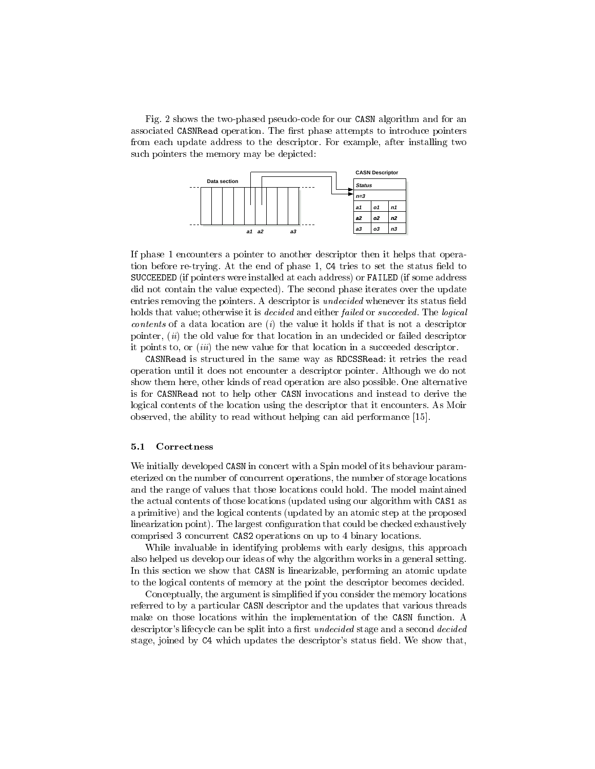Fig. 2 shows the two-phased pseudo-code for our CASN algorithm and for an associated CASNRead operation. The first phase attempts to introduce pointers from each update address to the descriptor. For example, after installing two such pointers the memory may be depicted:



If phase 1 encounters a pointer to another descriptor then it helps that operation before re-trying. At the end of phase  $1, C4$  tries to set the status field to SUCCEEDED (if pointers were installed at each address) or FAILED (if some address did not contain the value expected). The second phase iterates over the update entries removing the pointers. A descriptor is *undecided* whenever its status field holds that value; otherwise it is *decided* and either *failed* or *succeeded*. The *logical* contents of a data location are (i) the value it holds if that is not a descriptor pointer,  $(ii)$  the old value for that location in an undecided or failed descriptor it points to, or *(iii)* the new value for that location in a succeeded descriptor.

CASNRead is structured in the same way as RDCSSRead: it retries the read operation until it does not encounter a descriptor pointer. Although we do not show them here, other kinds of read operation are also possible. One alternative is for CASNRead not to help other CASN invocations and instead to derive the logical contents of the location using the descriptor that it encounters. As Moir observed, the ability to read without helping can aid performance [15].

#### 5.1 Correctness

We initially developed CASN in concert with a Spin model of its behaviour parameterized on the number of concurrent operations, the number of storage locations and the range of values that those locations could hold. The model maintained the actual contents of those locations (updated using our algorithm with CAS1 as a primitive) and the logical contents (updated by an atomic step at the proposed linearization point). The largest configuration that could be checked exhaustively comprised 3 concurrent CAS2 operations on up to 4 binary locations.

While invaluable in identifying problems with early designs, this approach also helped us develop our ideas of why the algorithm works in a general setting. In this section we show that CASN is linearizable, performing an atomic update to the logical contents of memory at the point the descriptor becomes decided.

Conceptually, the argument is simplied if you consider the memory locations referred to by a particular CASN descriptor and the updates that various threads make on those locations within the implementation of the CASN function. A descriptor's lifecycle can be split into a first *undecided* stage and a second *decided* stage, joined by C4 which updates the descriptor's status field. We show that,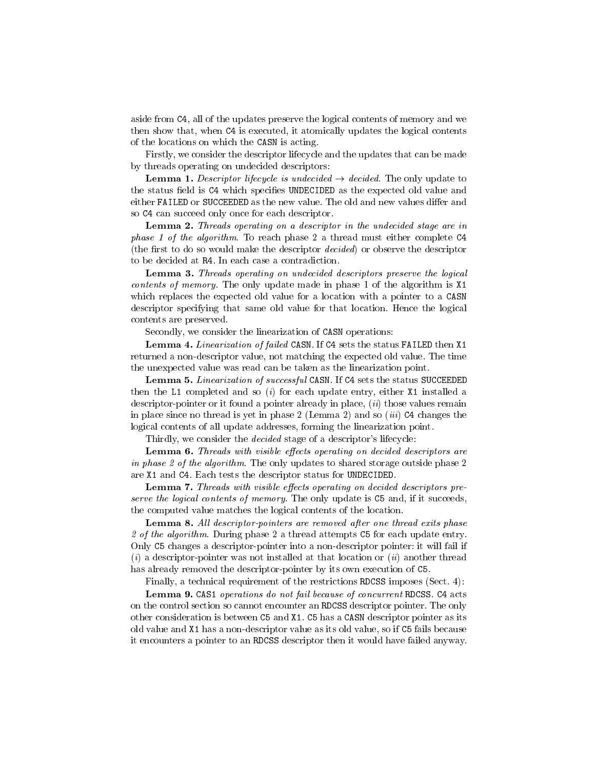aside from C4, all of the updates preserve the logical contents of memory and we then show that, when C4 is executed, it atomically updates the logical contents of the locations on which the CASN is acting.

Firstly, we consider the descriptor lifecycle and the updates that can be made by threads operating on undecided descriptors:

**Lemma 1.** Descriptor lifecycle is undecided  $\rightarrow$  decided. The only update to the status field is C4 which specifies UNDECIDED as the expected old value and either FAILED or SUCCEEDED as the new value. The old and new values differ and so C4 can succeed only once for each descriptor.

Lemma 2. Threads operating on a descriptor in the undecided stage are in phase 1 of the algorithm. To reach phase 2 a thread must either complete C4 (the first to do so would make the descriptor  $decided)$  or observe the descriptor to be decided at R4. In each case a contradiction.

Lemma 3. Threads operating on undecided descriptors preserve the logical contents of memory. The only update made in phase 1 of the algorithm is X1 which replaces the expected old value for a location with a pointer to a CASN descriptor specifying that same old value for that location. Hence the logical contents are preserved.

Secondly, we consider the linearization of CASN operations:

Lemma 4. Linearization of failed CASN. If C4 sets the status FAILED then X1 returned a non-descriptor value, not matching the expected old value. The time the unexpected value was read can be taken as the linearization point.

Lemma 5. Linearization of successful CASN. If C4 sets the status SUCCEEDED then the L1 completed and so  $(i)$  for each update entry, either X1 installed a descriptor-pointer or it found a pointer already in place,  $(ii)$  those values remain in place since no thread is yet in phase 2 (Lemma 2) and so *(iii)* C4 changes the logical contents of all update addresses, forming the linearization point.

Thirdly, we consider the *decided* stage of a descriptor's lifecycle:

Lemma 6. Threads with visible effects operating on decided descriptors are in phase 2 of the algorithm. The only updates to shared storage outside phase 2 are X1 and C4. Each tests the descriptor status for UNDECIDED.

**Lemma 7.** Threads with visible effects operating on decided descriptors preserve the logical contents of memory. The only update is C5 and, if it succeeds, the computed value matches the logical contents of the location.

Lemma 8. All descriptor-pointers are removed after one thread exits phase 2 of the algorithm. During phase 2 a thread attempts C5 for each update entry. Only C5 changes a descriptor-pointer into a non-descriptor pointer: it will fail if  $(i)$  a descriptor-pointer was not installed at that location or  $(ii)$  another thread has already removed the descriptor-pointer by its own execution of C5.

Finally, a technical requirement of the restrictions RDCSS imposes (Sect. 4):

Lemma 9. CAS1 operations do not fail because of concurrent RDCSS. C4 acts on the control section so cannot encounter an RDCSS descriptor pointer. The only other consideration is between C5 and X1. C5 has a CASN descriptor pointer as its old value and X1 has a non-descriptor value as its old value, so if C5 fails because it encounters a pointer to an RDCSS descriptor then it would have failed anyway.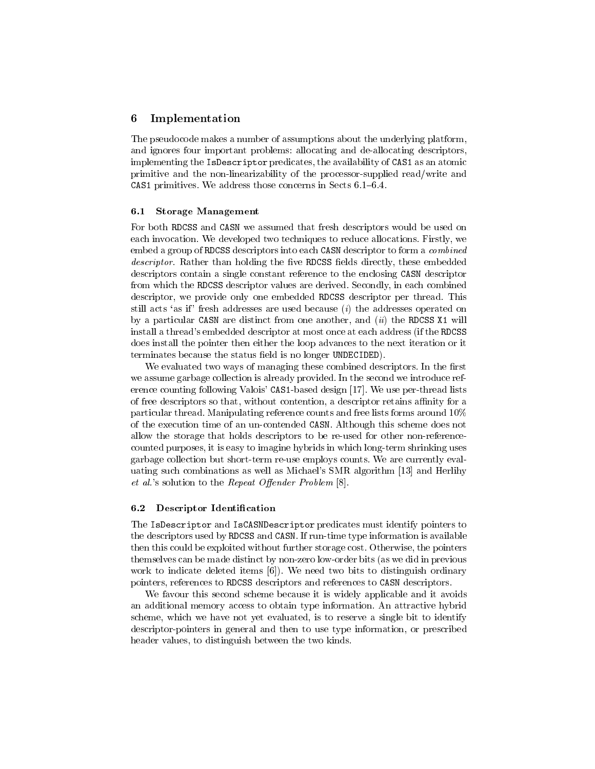### 6 Implementation

The pseudocode makes a number of assumptions about the underlying platform, and ignores four important problems: allocating and de-allocating descriptors, implementing the IsDescriptor predicates, the availability of CAS1 as an atomic primitive and the non-linearizability of the processor-supplied read/write and CAS1 primitives. We address those concerns in Sects  $6.1{-}6.4$ .

### 6.1 Storage Management

For both RDCSS and CASN we assumed that fresh descriptors would be used on each invocation. We developed two techniques to reduce allocations. Firstly, we embed a group of RDCSS descriptors into each CASN descriptor to form a *combined* descriptor. Rather than holding the five RDCSS fields directly, these embedded descriptors contain a single constant reference to the enclosing CASN descriptor from which the RDCSS descriptor values are derived. Secondly, in each combined descriptor, we provide only one embedded RDCSS descriptor per thread. This still acts 'as if' fresh addresses are used because  $(i)$  the addresses operated on by a particular CASN are distinct from one another, and  $(ii)$  the RDCSS X1 will install a thread's embedded descriptor at most once at each address (if the RDCSS does install the pointer then either the loop advances to the next iteration or it terminates because the status field is no longer UNDECIDED).

We evaluated two ways of managing these combined descriptors. In the first we assume garbage collection is already provided. In the second we introduce reference counting following Valois' CAS1-based design [17]. We use per-thread lists of free descriptors so that, without contention, a descriptor retains affinity for a particular thread. Manipulating reference counts and free lists forms around 10% of the execution time of an un-contended CASN. Although this scheme does not allow the storage that holds descriptors to be re-used for other non-referencecounted purposes, it is easy to imagine hybrids in which long-term shrinking uses garbage collection but short-term re-use employs counts. We are currently evaluating such combinations as well as Michael's SMR algorithm [13] and Herlihy et al.'s solution to the Repeat Offender Problem  $[8]$ .

### 6.2 Descriptor Identification

The IsDescriptor and IsCASNDescriptor predicates must identify pointers to the descriptors used by RDCSS and CASN. If run-time type information is available then this could be exploited without further storage cost. Otherwise, the pointers themselves can be made distinct by non-zero low-order bits (as we did in previous work to indicate deleted items [6]). We need two bits to distinguish ordinary pointers, references to RDCSS descriptors and references to CASN descriptors.

We favour this second scheme because it is widely applicable and it avoids an additional memory access to obtain type information. An attractive hybrid scheme, which we have not yet evaluated, is to reserve a single bit to identify descriptor-pointers in general and then to use type information, or prescribed header values, to distinguish between the two kinds.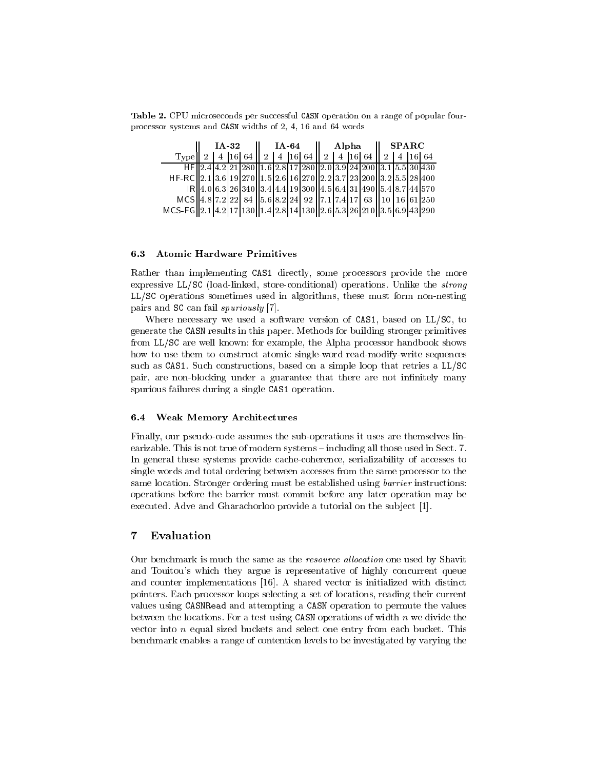Table 2. CPU microseconds per successful CASN operation on a range of popular fourprocessor systems and CASN widths of 2, 4, 16 and 64 words

|                                                                         | $IA-32$ |                |  | $IA-64$       |  |  | Alpha |                     |  |  | <b>SPARC</b> |                                                                                |  |  |  |       |
|-------------------------------------------------------------------------|---------|----------------|--|---------------|--|--|-------|---------------------|--|--|--------------|--------------------------------------------------------------------------------|--|--|--|-------|
| Type                                                                    |         | $\overline{4}$ |  | $ 16 $ 64   2 |  |  |       | 14 16 64  2 4 16 64 |  |  |              |                                                                                |  |  |  | 16 64 |
|                                                                         |         |                |  |               |  |  |       |                     |  |  |              | HF  2.4  4.2  21  280  1.6  2.8  17  280  2.0  3.9  24  200  3.1  5.5  30  430 |  |  |  |       |
| $HF-RC  2.1 3.6 19 270  1.5 2.6 16 270  2.2 3.7 23 200  3.2 5.5 28 400$ |         |                |  |               |  |  |       |                     |  |  |              |                                                                                |  |  |  |       |
|                                                                         |         |                |  |               |  |  |       |                     |  |  |              | $IR  4.0 6.3 26 340  3.4 4.4 19 300  4.5 6.4 31 490  5.4 8.7 44 570$           |  |  |  |       |
| MCS $  4.8 7.2 22 84  5.6 8.2 24 92  7.1 7.4 17 63  10 16 61 250$       |         |                |  |               |  |  |       |                     |  |  |              |                                                                                |  |  |  |       |
| MCS-FG  2.1 4.2 17 130  1.4 2.8 14 130  2.6 5.3 26 210  3.5 6.9 43 290  |         |                |  |               |  |  |       |                     |  |  |              |                                                                                |  |  |  |       |

#### 6.3 **Atomic Hardware Primitives**

Rather than implementing CAS1 directly, some processors provide the more expressive LL/SC (load-linked, store-conditional) operations. Unlike the strong LL/SC operations sometimes used in algorithms, these must form non-nesting pairs and SC can fail spuriously [7].

Where necessary we used a software version of CAS1, based on LL/SC, to generate the CASN results in this paper. Methods for building stronger primitives from LL/SC are well known: for example, the Alpha processor handbook shows how to use them to construct atomic single-word read-modify-write sequences such as CAS1. Such constructions, based on a simple loop that retries a LL/SC pair, are non-blocking under a guarantee that there are not infinitely many spurious failures during a single CAS1 operation.

#### 6.4 Weak Memory Architectures

Finally, our pseudo-code assumes the sub-operations it uses are themselves linearizable. This is not true of modern systems - including all those used in Sect. 7. In general these systems provide cache-coherence, serializability of accesses to single words and total ordering between accesses from the same processor to the same location. Stronger ordering must be established using *barrier* instructions: operations before the barrier must commit before any later operation may be executed. Adve and Gharachorloo provide a tutorial on the subject [1].

#### $\overline{7}$ Evaluation

Our benchmark is much the same as the *resource allocation* one used by Shavit and Touitou's which they argue is representative of highly concurrent queue and counter implementations [16]. A shared vector is initialized with distinct pointers. Each processor loops selecting a set of locations, reading their current values using CASNRead and attempting a CASN operation to permute the values between the locations. For a test using CASN operations of width  $n$  we divide the vector into  $n$  equal sized buckets and select one entry from each bucket. This benchmark enables a range of contention levels to be investigated by varying the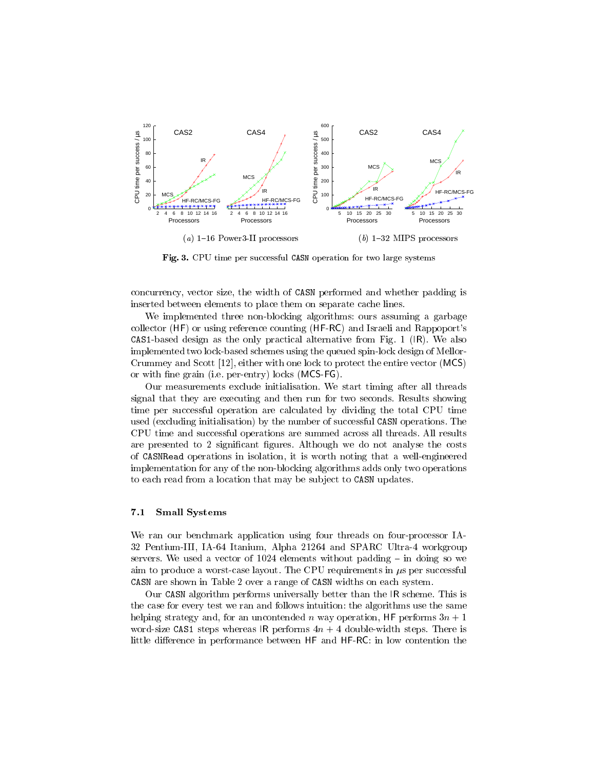

Fig. 3. CPU time per successful CASN operation for two large systems

concurrency, vector size, the width of CASN performed and whether padding is inserted between elements to place them on separate cache lines.

We implemented three non-blocking algorithms: ours assuming a garbage collector (HF) or using reference counting (HF-RC) and Israeli and Rappoport's CAS1-based design as the only practical alternative from Fig. 1 (IR). We also implemented two lock-based schemes using the queued spin-lock design of Mellor-Crummey and Scott [12], either with one lock to protect the entire vector (MCS) or with ne grain (i.e. per-entry) locks (MCS-FG).

Our measurements exclude initialisation. We start timing after all threads signal that they are executing and then run for two seconds. Results showing time per successful operation are calculated by dividing the total CPU time used (excluding initialisation) by the number of successful CASN operations. The CPU time and successful operations are summed across all threads. All results are presented to 2 significant figures. Although we do not analyse the costs of CASNRead operations in isolation, it is worth noting that a well-engineered implementation for any of the non-blocking algorithms adds only two operations to each read from a location that may be sub ject to CASN updates.

#### 7.1 Small Systems

We ran our benchmark application using four threads on four-processor IA-32 Pentium-III, IA-64 Itanium, Alpha 21264 and SPARC Ultra-4 workgroup servers. We used a vector of  $1024$  elements without padding  $-$  in doing so we aim to produce a worst-case layout. The CPU requirements in  $\mu$ s per successful CASN are shown in Table 2 over a range of CASN widths on each system.

Our CASN algorithm performs universally better than the IR scheme. This is the case for every test we ran and follows intuition: the algorithms use the same helping strategy and, for an uncontended n way operation, HF performs  $3n + 1$ word-size CAS1 steps whereas IR performs  $4n + 4$  double-width steps. There is little difference in performance between HF and HF-RC: in low contention the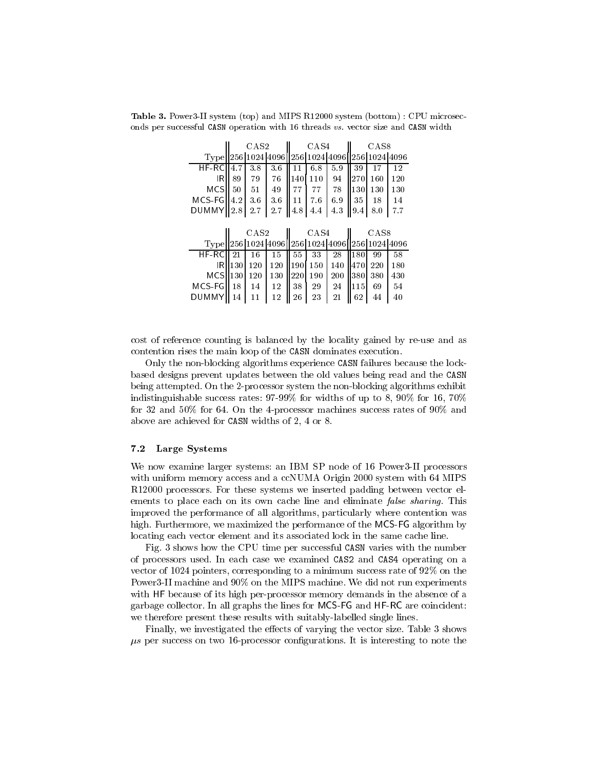Table 3. Power3-II system (top) and MIPS R12000 system (bottom) : CPU microseconds per successful CASN operation with 16 threads vs. vector size and CASN width

|                 | CAS2 |         |     |       | CAS4 |                                           | CAS8                                                                                                                                                                      |     |     |  |
|-----------------|------|---------|-----|-------|------|-------------------------------------------|---------------------------------------------------------------------------------------------------------------------------------------------------------------------------|-----|-----|--|
| Type            |      |         |     |       |      | 256 1024 4096 256 1024 4096 256 1024 4096 |                                                                                                                                                                           |     |     |  |
| HF-RC           | 4.7  | 3.8     | 36  | 11    | 6.8  | 5.9                                       | 39                                                                                                                                                                        | 17  | 12  |  |
| IR.             | 89   | 79      | 76  | 140   | 110  | 94                                        | 270                                                                                                                                                                       | 160 | 120 |  |
| MCS             | 50   | 51      | 49  | 77    | 77   | 78                                        | 130                                                                                                                                                                       | 130 | 130 |  |
| MCS-FG $  $ 4.2 |      | 3.6     | 3.6 | ll 11 | 7.6  | 6.9                                       | 35                                                                                                                                                                        | 18  | 14  |  |
| <b>DUMMY</b>    | 2.8  | $2.7\,$ | 2.7 | 4.8   | 4.4  | 4.3                                       |                                                                                                                                                                           | 8.0 | 7.7 |  |
|                 |      |         |     |       |      |                                           |                                                                                                                                                                           |     |     |  |
|                 |      |         |     |       |      |                                           | $\begin{array}{ c c c c c }\n \hline\n \text{CAS1} & \text{CAS2} & \text{CAS4} & \text{CAS8} \\  \hline\n 256 & 1024 & 4096 & 256 & 1024 & 4096 \\  \hline\n \end{array}$ |     |     |  |
| Type            |      |         |     |       |      |                                           |                                                                                                                                                                           |     |     |  |
| HF-RC           | 21   | 16      | 15  | 55    | 33   | 28                                        | 180                                                                                                                                                                       | 99  |     |  |
|                 |      |         |     |       |      |                                           |                                                                                                                                                                           |     | 58  |  |
| IR.             | 130  | 120     | 120 | 190   | 150  | 140                                       | 470                                                                                                                                                                       | 220 | 180 |  |
| MCSII130        |      | 120     | 130 | 220   | 190  | 200                                       | 380                                                                                                                                                                       | 380 | 430 |  |
| $MCS-FG$        | 18   | 14      | 12  | 38    | 29   | 24                                        | 115                                                                                                                                                                       | 69  | 54  |  |

cost of reference counting is balanced by the locality gained by re-use and as contention rises the main loop of the CASN dominates execution.

Only the non-blocking algorithms experience CASN failures because the lockbased designs prevent updates between the old values being read and the CASN being attempted. On the 2-processor system the non-blocking algorithms exhibit indistinguishable success rates: 97-99% for widths of up to 8, 90% for 16, 70% for 32 and 50% for 64. On the 4-processor machines success rates of 90% and above are achieved for CASN widths of 2, 4 or 8.

#### 7.2 Large Systems

We now examine larger systems: an IBM SP node of 16 Power3-II processors with uniform memory access and a ccNUMA Origin 2000 system with 64 MIPS R12000 processors. For these systems we inserted padding between vector elements to place each on its own cache line and eliminate false sharing. This improved the performance of all algorithms, particularly where contention was high. Furthermore, we maximized the performance of the MCS-FG algorithm by locating each vector element and its associated lock in the same cache line.

Fig. 3 shows how the CPU time per successful CASN varies with the number of processors used. In each case we examined CAS2 and CAS4 operating on a vector of 1024 pointers, corresponding to a minimum success rate of 92% on the Power3-II machine and 90% on the MIPS machine. We did not run experiments with HF because of its high per-processor memory demands in the absence of a garbage collector. In all graphs the lines for MCS-FG and HF-RC are coincident: we therefore present these results with suitably-labelled single lines.

Finally, we investigated the effects of varying the vector size. Table 3 shows  $\mu$ s per success on two 16-processor configurations. It is interesting to note the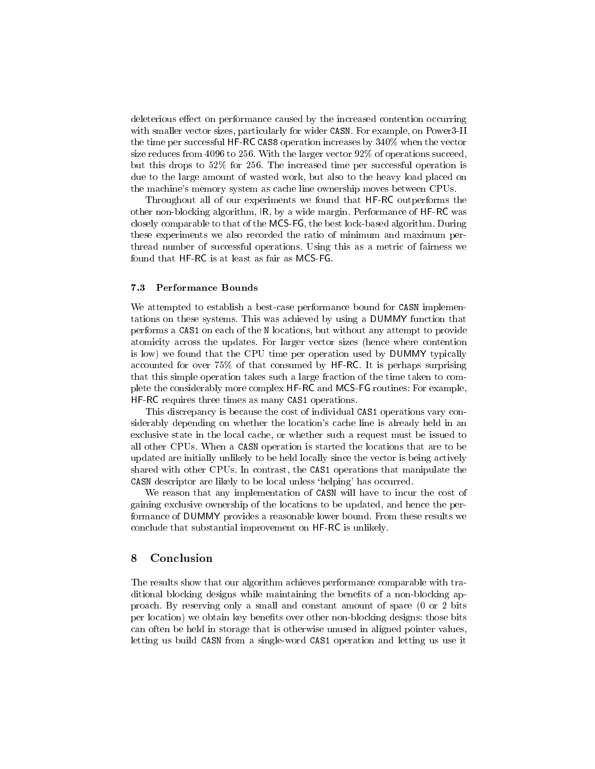deleterious effect on performance caused by the increased contention occurring with smaller vector sizes, particularly for wider CASN. For example, on Power3-II the time per successful HF-RC CAS8 operation increases by 340% when the vector size reduces from 4096 to 256. With the larger vector 92% of operations succeed, but this drops to 52% for 256. The increased time per successful operation is due to the large amount of wasted work, but also to the heavy load placed on the machine's memory system as cache line ownership moves between CPUs.

Throughout all of our experiments we found that HF-RC outperforms the other non-blocking algorithm, IR, by a wide margin. Performance of HF-RC was closely comparable to that of the MCS-FG, the best lock-based algorithm. During these experiments we also recorded the ratio of minimum and maximum perthread number of successful operations. Using this as a metric of fairness we found that HF-RC is at least as fair as MCS-FG.

#### 7.3 Performance Bounds

We attempted to establish a best-case performance bound for CASN implementations on these systems. This was achieved by using a DUMMY function that performs a CAS1 on each of the N locations, but without any attempt to provide atomicity across the updates. For larger vector sizes (hence where contention is low) we found that the CPU time per operation used by DUMMY typically accounted for over 75% of that consumed by HF-RC. It is perhaps surprising that this simple operation takes such a large fraction of the time taken to complete the considerably more complex HF-RC and MCS-FG routines: For example, HF-RC requires three times as many CAS1 operations.

This discrepancy is because the cost of individual CAS1 operations vary considerably depending on whether the location's cache line is already held in an exclusive state in the local cache, or whether such a request must be issued to all other CPUs. When a CASN operation is started the locations that are to be updated are initially unlikely to be held locally since the vector is being actively shared with other CPUs. In contrast, the CAS1 operations that manipulate the CASN descriptor are likely to be local unless `helping' has occurred.

We reason that any implementation of CASN will have to incur the cost of gaining exclusive ownership of the locations to be updated, and hence the performance of DUMMY provides a reasonable lower bound. From these results we conclude that substantial improvement on HF-RC is unlikely.

#### **Conclusion** 8

The results show that our algorithm achieves performance comparable with traditional blocking designs while maintaining the benefits of a non-blocking approach. By reserving only a small and constant amount of space (0 or 2 bits per location) we obtain key benets over other non-blocking designs: those bits can often be held in storage that is otherwise unused in aligned pointer values, letting us build CASN from a single-word CAS1 operation and letting us use it